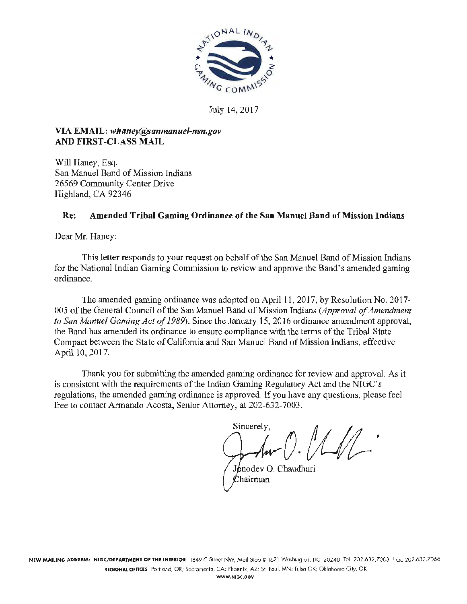

July 14, 2017

### VIA EMAIL: *whaney@sanmanuel-nsn.gov* AND FIRST-CLASS MAIL

Will Haney, Esq. San Manuel Band of Mission Indians 26569 Community Center Drive Highland, CA 92346

### Re: Amended Tribal Gaming Ordinance of the San Manuel Band of Mission Indians

Dear Mr. Haney:

This letter responds to your request on behalf of the San Manuel Band of Mission Indians for the National Indian Gaming Commission to review and approve the Band's amended gaming ordinance.

The amended gaming ordinance was adopted on April 11, 2017, by Resolution No. 2017-005 of the General Council of the San Manuel Band of Mission Indians *(Approval of Amendment to San Manuel Gaming Act of 1989).* Since the January 15, 2016 ordinance amendment approval, the Band has amended its ordinance to ensure compliance with the terms of the Tribal-State Compact between the State of California and San Manuel Band of Mission Indians, effective April 10, 2017.

Thank you for submitting the amended gaming ordinance for review and approval. As it is consistent with the requirements of the Indian Gaming Regulatory Act and the NIGC's regulations, the amended gaming ordinance is approved. If you have any questions, please feel free to contact Armando Acosta, Senior Attorney, at 202-632-7003.

Sincerely,  $1/1/1$ o.

Jonodev O. Chaudhuri  $\mathcal C$ hairman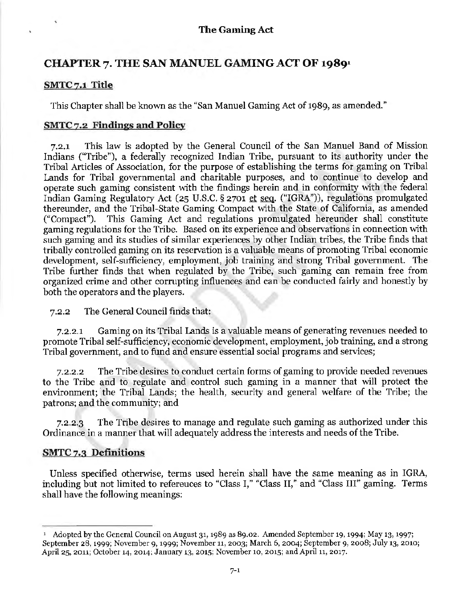# CHAPTER 7. THE SAN MANUEL GAMING ACT OF 1989<sup>1</sup>

### SMTC 7.1 Title

This Chapter shall be known as the "San Manuel Gaming Act of 1989, as amended."

### SMTC 7.2 Findings and Policy

7.2.1 This law is adopted by the General Council of the San Manuel Band of Mission Indians ("Tribe"), a federally recognized Indian Tribe, pursuant to its authority under the Tribal Atticles of Association, for the purpose of establishing the terms for gaming on Tribal Lands for Tribal governmental and charitable purposes, and to continue to develop and operate such gaming consistent with the findings herein and in conformity with the federal Indian Gaming Regulatory Act (25 U.S.C. § 2701 et seq. ("IGRA")), regulations promulgated thereunder, and the Tribal-State Gaming Compact with the State of California, as amended ("Compact"). This Gaming Act and regulations promulgated hereunder shall constitute gaming regulations for the Tribe. Based on its experience and observations in connection with such gaming and its studies of similar experiences by other Indian tribes, the Tribe finds that tribally controlled gaming on its reservation is a valuable means of promoting Tribal economic development, self-sufficiency, employment, job training and strong Tribal government. The Tribe further finds that when regulated by the Tribe, such gaming can remain free from organized crime and other corrupting influences and can be conducted fairly and honestly by both the operators and the players.

### 7.2.2 The General Council finds that:

7.2.2.1 Gaming on its Tribal Lands is a valuable means of generating revenues needed to promote Tribal self-sufficiency, economic development, employment, job training, and a strong Tribal government, and to fund and ensure essential social programs and services;

7.2.2.2 The Tribe desires to conduct certain forms of gaming to provide needed revenues to the Tribe and to regulate and control such gaming in a manner that will protect the environment; the Tribal Lands; the health, security and general welfare of the Tribe; the patrons; and the community; and

7.2.2.3 The Tribe desires to manage and regulate such gaming as authorized under this Ordinance in a manner that will adequately address the interests and needs of the Tribe.

# SMTC 7.3 Definitions

Unless specified otherwise, terms used herein shall have the same meaning as in IGRA, including but not limited to references to "Class I," "Class II/' and "Class III" gaming. Terms shall have the following meanings:

<sup>1</sup> Adopted by the General Council on August 31, 1989 as 89.02. Amended September 19, 1994; May 13, 1997; September 28, 1999; November 9, i999; November 11, 2003; March 6, 2004; September 9, 2008; July 13, 2010; April 25, 2011; October 14, 2014; January 13, 2015; November 10, 2015; and April 11, 2017.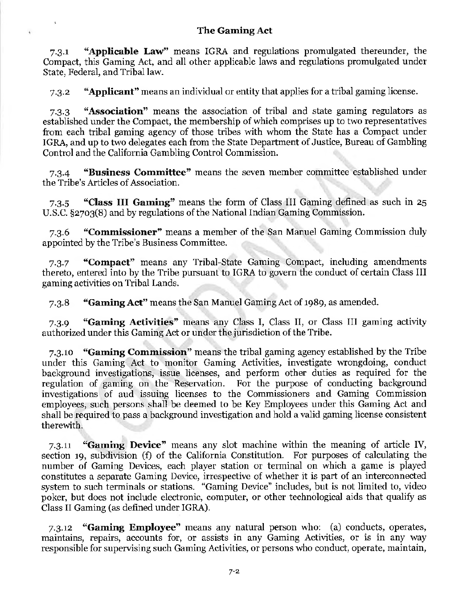$\overline{a}$ 

7.3.1 "Applicable Law" means IGRA and regulations promulgated thereunder, the Compact, this Gaming Act, and all other applicable laws and regulations promulgated under State, Federal, and Tribal law.

7.3.2 "Applicant" means an individual or entity that applies for a tribal gaming license.

7.3.3 "Association" means the association of tribal and state gaming regulators as established under the Compact, the membership of which comprises up to two representatives from each tribal gaming agency of those tribes with whom the State has a Compact under IGRA, and up to two delegates each from the State Department of Justice, Bureau of Gambling Control and the California Gambling Control Commission.

7.3.4 "Business Committee" means the seven member committee established under the Tribe's Articles of Association.

7.3.5 "Class III Gaming" means the form of Class III Gaming defined as such in 25 U.S.C. §2703(8) and by regulations of the National Indian Gaming Commission.

7.3.6 "Commissioner" means a member of the San Manuel Gaming Commission duly appointed by the Tribe's Business Committee.

7.3.7 "Compact" means any Tribal-State Gaming Compact, including amendments thereto, entered into by the Tribe pursuant to IGRA to govern the conduct of certain Class III gaming activities on Tribal Lands.

7.3.8 "Gaming Act" means the San Manuel Gaming Act of 1989, as amended.

7.3.9 "Gaming Activities" means any Class I, Class II, or Class III gaming activity authorized under this Gaming Act or under the jurisdiction of the Tribe.

7.3.10 "Gaming Commission" means the tribal gaming agency established by the Tribe under this Gaming Act to monitor Gaming Activities, investigate wrongdoing, conduct background investigations, issue licenses, and perform other duties as required for the regulation of gaming on the Reservation. For the purpose of conducting background investigations of and issuing licenses to the Commissioners and Gaming Commission employees, such persons shall be deemed to be Key Employees under this Gaming Act and shall be required to pass a background investigation and hold a valid gaming license consistent therewith.

7.3.11 "Gaming Device" means any slot machine within the meaning of article IV, section 19, subdivision (f) of the California Constitution. For purposes of calculating the number of Gaming Devices, each player station or terminal on which a game is played constitutes a separate Gaming Device, irrespective of whether it is part of an interconnected system to such terminals or stations. "Gaming Device'' includes, but is not limited to, video poker, but does not include electronic, computer, or other technological aids that qualify as Class II Gaming (as defined under IGRA).

7.3.12 **"Gaming Employee"** means any natural person who: (a) conducts, operates, maintains, repairs, accounts for, or assists in any Gaming Activities, or is in any way responsible for supervising such Gaming Activities, or persons who conduct, operate, maintain,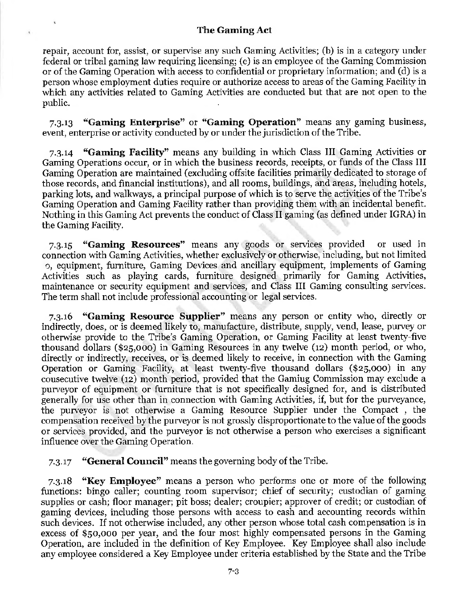$\hat{\mathbf{v}}$ 

repair, account for, assist, or supervise any such Gaming Activities; (b) is in a category under federal or tribal gaming law requiring licensing; (c) is an employee of the Gaming Commission or of the Gaming Operation with access to confidential or proprietary information; and (d) is a person whose employment duties require or authorize access to areas of the Gaming Facility in which any activities related to Gaming Activities are conducted but that are not open to the public.

7.3.13 "Gaming Enterprise" or "Gaming Operation" means any gaming business, event, enterprise or activity conducted by or under the jurisdiction of the Tribe.

7.3.14 "Gaming Facility" means any building in which Class III Gaming Activities or Gaming Operations occur, or in which the business records, receipts, or funds of the Class III Gaming Operation are maintained (excluding offsite facilities primarily dedicated to storage of those records, and financial institutions), and all rooms, buildings, and areas, including hotels, parking lots, and walkways, a principal purpose of which is to serve the activities of the Tribe's Gaming Operation and Gaming Facility rather than providing them with an incidental benefit. Nothing in this Gaming Act prevents the conduct of Class II gaming (as defined under IGRA) in the Gaming Facility.

7.3.15 "Gaming Resources'' means any goods or services provided or used in connection with Gaming Activities, whether exclusively or otherwise, including, but not limited o, equipment, furniture, Gaming Devices and ancillary equipment, implements of Gaming Activities such as playing cards, furniture designed primarily for Gaming Activities, maintenance or security equipment and services, and Class III Gaming consulting services. The term shall not include professional accounting or legal services.

7.3.16 "Gaming Resource Supplier" means any person or entity who, directly or indirectly, does, or is deemed likely to, manufacture, distribute, supply, vend, lease, purvey or otherwise provide to the Tribe's Gaming Operation, or Gaming Facility at least twenty-five thousand dollars (\$25,000) in Gaming Resources in any twelve (12) month period, or who, directly or indirectly, receives, or is deemed likely to receive, in connection with the Gaming Operation or Gaming Facility, at least twenty-five thousand dollars (\$25,000) in any consecutive twelve (12) month period, provided that the Gaming Commission may exclude a purveyor of equipment or furniture that is not specifically designed for, and is distributed generally for use other than in connection with Gaming Activities, if, but for the purveyance, the purveyor is not otherwise a Gaming Resource Supplier under the Compact , the compensation received by the purveyor is not grossly disproportionate to the value of the goods or services provided, and the purveyor is not otherwise a person who exercises a significant influence over the Gaming Operation.

7.3.17 "General Council" means the governing body of the Tribe.

7.3.18 "Key Employee" means a person who performs one or more of the following functions: bingo caller; counting room supervisor; chief of security; custodian of gaming supplies or cash; floor manager; pit boss; dealer; croupier; approver of credit; or custodian of gaming devices, including those persons with access to cash and accounting records within such devices. If not otherwise included, any other person whose total cash compensation is in excess of \$so,ooo per year, and the four most highly compensated persons in the Gaming Operation, are included in the definition of Key Employee. Key Employee shall also include any employee considered a Key Employee under criteria established by the State and the Tribe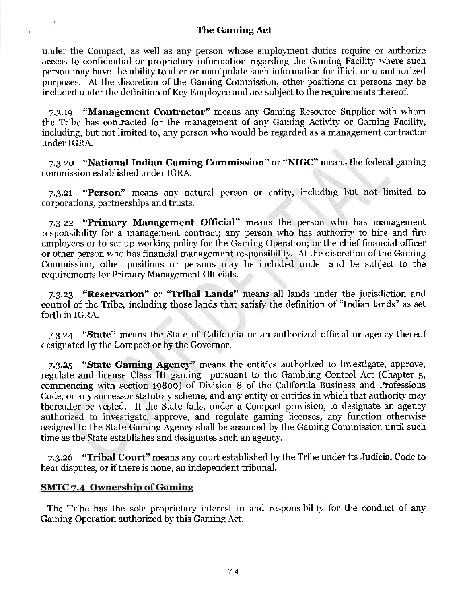under the Compact, as well as any person whose employment duties require or authorize access to confidential or proprietary information regarding the Gaming Facility where such person may have the ability to alter or manipulate such information for illicit or unauthorized purposes. At the discretion of the Gaming Commission, other positions or persons may be included under the definition of Key Employee and are subject to the requirements thereof.

7.3.19 **"Management Contractor"** means any Gaming Resource Supplier with whom the Tribe has contracted for the management of any Gaming Activity or Gaming Facility, including, but not limited to, any person who would be regarded as a management contractor under IGRA.

7.3.20 "National Indian Gaming Commission" or "NIGC" means the federal gaming commission established under IGRA.

7.3.21 "Person" means any natural person or entity, including but not limited to corporations, partnerships and trusts.

7.3.22 "Primary Management Official" means the person who has management responsibility for a management contract; any person who has authority to hire and fire employees or to set up working policy for the Gaming Operation; or the chief financial officer or other person who has financial management responsibility. At the discretion of the Gaming Commission, other positions or persons may be included under and be subject to the requirements for Primary Management Officials.

7.3.23 "Reservation" or "Tribal Lands'' means all lands under the jurisdiction and control of the Tribe, including those lands that satisfy the definition of "Indian lands" as set forth in IGRA.

7.3.24 "State" means the State of California or an authorized official or agency thereof designated by the Compact or by the Governor.

7.3.25 "State Gaming Agency" means the entities authorized to investigate, approve, regulate and license Class Ill gaming pursuant to the Gambling Control Act (Chapter 5, commencing with section 19800) of Division 8 of the California Business and Professions Code, or any successor statutory scheme, and any entity or entities in which that authority may thereafter be vested. If the State fails, under a Compact provision, to designate an agency authorized to investigate, approve, and regulate gaming licenses, any function otherwise assigned to the State Gaming Agency shall be assumed by the Gaming Commission until such time as the State establishes and designates such an agency.

7.3.26 "Tribal Court'' means any court established by the Tribe under its Judicial Code to hear disputes, or if there is none, an independent tribunal.

### SMTC 7.4 Ownership of Gaming

The Tribe has the sole proprietary interest in and responsibility for the conduct of any Gaming Operation authorized by this Gaming Act.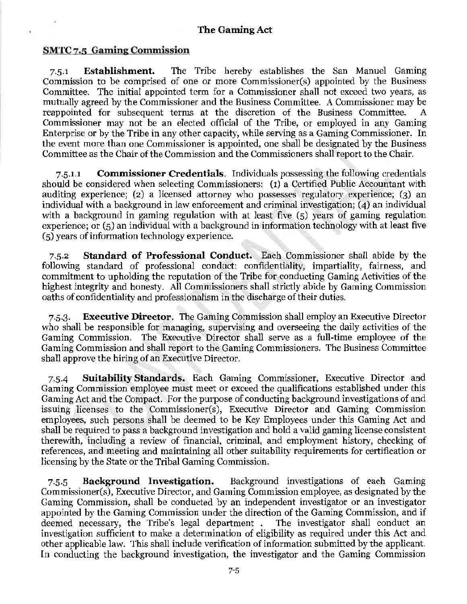### SMTC 7.5 Gaming Commission

 $\ddot{\phantom{a}}$ 

7.5.1 Establishment. The Tribe hereby establishes the San Manuel Gaming Commission to be comprised of one or more Commissioner(s) appointed by the Business Committee. The initial appointed term for a Commissioner shall not exceed two years, as mutually agreed by the Commissioner and the Business Committee. A Commissioner may be reappointed for subsequent terms at the discretion of the Business Committee. A Commissioner may not be an elected official of the Tribe, or employed in any Gaming Enterprise or by the Tribe in any other capacity, while serving as a Gaming Commissioner. In the event more than one Commissioner is appointed, one shall be designated by the Business Committee as the Chair of the Commission and the Commissioners shall report to the Chair.

7.5.1.1 Commissioner Credentials. Individuals possessing the following credentials should be considered when selecting Commissioners: (1) a Certified Public Accountant with auditing experience; (2) a licensed attorney who possesses regulatory experience; (3) an individual with a background in law enforcement and criminal investigation; (4) an individual with a background in gaming regulation with at least five (5) years of gaming regulation experience; or  $(5)$  an individual with a background in information technology with at least five (5) years of information technology experience.

7.5.2 Standard of Professional Conduct. Each Commissioner shall abide by the following standard of professional conduct: confidentiality, impartiality, fairness, and commitment to upholding the reputation of the Tribe for conducting Gaming Activities of the highest integrity and honesty. All Commissioners shall strictly abide by Gaming Commission oaths of confidentiality and professionalism in the discharge of their duties.

7.5.3. Executive Director. The Gaming Commission shall employ an Executive Director who shall be responsible for managing, supervising and overseeing the daily activities of the Gaming Commission. The Executive Director shall serve as a full-time employee of the Gaming Commission and shall report to the Gaming Commissioners. The Business Committee shall approve the hiring of an Executive Director.

7·5-4 Suitability Standards. Each Gaming Commissioner, Executive Director and Gaming Commission employee must meet or exceed the qualifications established under this Gaming Act and the Compact. For the purpose of conducting background investigations of and issuing licenses to the Commissioner(s), Executive Director and Gaming Commission employees, such persons shall be deemed to be Key Employees under this Gaming Act and shall be required to pass a background investigation and hold a valid gaming license consistent therewith, including a review of financial, criminal, and employment history, checking of references, and meeting and maintaining all other suitability requirements for certification or licensing by the State or the Tribal Gaming Commission.

7.5.5 Background Investigation. Background investigations of each Gaming Commissioner(s), Executive Director, and Gaming Commission employee, as designated by the Gaming Commission, shall be conducted by an independent investigator or an investigator appointed by the Gaming Commission under the direction of the Gaming Commission, and if deemed necessary, the Tribe's legal department . The investigator shall conduct an investigation sufficient to make a determination of eligibility as required under this Act and other applicable law. This shall include verification of information submitted by the applicant. In conducting the background investigation, the investigator and the Gaming Commission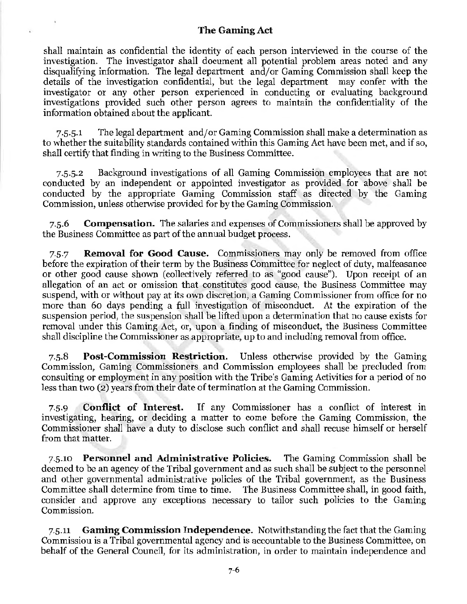shall maintain as confidential the identity of each person interviewed in the course of the investigation. The investigator shall document all potential problem areas noted and any disqualifying information. The legal department and/or Gaming Commission shall keep the details of the investigation confidential, but the legal department may confer with the investigator or any other person experienced in conducting or evaluating background investigations provided such other person agrees to maintain the confidentiality of the information obtained about the applicant.

7.5.5.1 The legal department and/or Gaming Commission shall make a determination as to whether the suitability standards contained within this Gaming Act have been met, and if so, shall certify that finding in writing to the Business Committee.

7.5.5.2 Background investigations of all Gaming Commission employees that are not conducted by an independent or appointed investigator as provided for above shall be conducted by the appropriate Gaming Commission staff as directed by the Gaming Commission, unless otherwise provided for by the Gaming Commission.

7.5.6 Compensation. The salaries and expenses of Commissioners shall be approved by the Business Committee as part of the annual budget process.

7.5.7 **Removal for Good Cause.** Commissioners may only be removed from office before the expiration of their term by the Basiness Committee for neglect of duty, malfeasance or other good cause shown (collectively referred to as "good cause"). Upon receipt of an allegation of an act or omission that constitutes good cause, the Business Committee may suspend, with or without pay at its own discretion, a Gaming Commissioner from office for no more than 60 days pending a full investigation of misconduct. At the expiration of the suspension period, the suspension shall be lifted upon a determination that no cause exists for removal under this Gaming Act, or, upon a finding of misconduct, the Business Committee shall discipline the Commissioner as appropriate, up to and including removal from office.

7.5.8 Post-Commission Restriction. Unless otherwise provided by the Gaming Commission, Gaming Commissioners and Commission employees shall be precluded from consulting or employment in any position with the Tribe's Gaming Activities for a period of no less than two (2) years from their date of termination at the Gaming Commission.

7.5.9 Conflict of Interest. If any Commissioner has a conflict of interest in investigating, hearing, or deciding a matter to come before the Gaming Commission, the Commissioner shall have a duty to disclose such conflict and shall recuse himself or herself from that matter.

7.5.10 Personnel and Administrative Policies. The Gaming Commission shall be deemed to be an agency of the Tribal government and as such shall be subject to the personnel and other governmental administrative policies of the Tribal government, as the Business Committee shall determine from time to time. The Business Committee shall, in good faith, consider and approve any exceptions necessary to tailor such policies to the Gaming Commission.

7.5.11 **Gaming Commission Independence.** Notwithstanding the fact that the Gaming Commission is a Tribal governmental agency and is accountable to the Business Committee, on behalf of the General Council, for its administration, in order to maintain independence and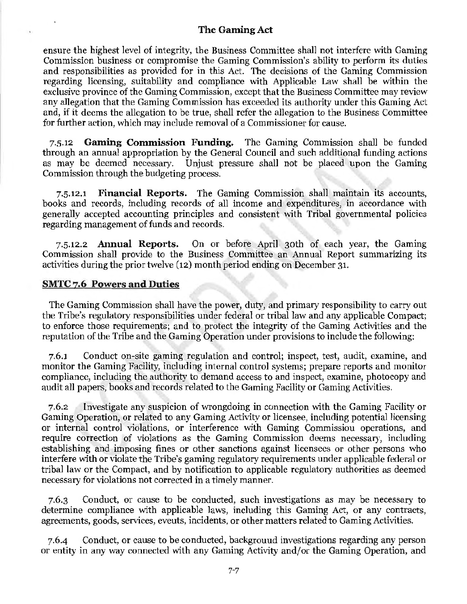ensure the highest level of integrity, the Business Committee shall not interfere with Gaming Commission business or compromise the Gaming Commission's ability to perform its duties and responsibilities as provided for in this Act. The decisions of the Gaming Commission regarding licensing, suitability and compliance with Applicable Law shall be within the exclusive province of the Gaming Commission, except that the Business Committee may review any allegation that the Gaming Commission has exceeded its authority under this Gaming Act and, if it deems the a11egation to be true, shall refer the allegation to the Business Committee for further action, which may include removal of a Commissioner for cause.

7.5.12 **Gaming Commission Funding.** The Gaming Commission shall be funded through an annual appropriation by the General Council and such additional funding actions as may be deemed necessary. Unjust pressure shall not be placed upon the Gaming Commission through the budgeting process.

7.5.12.1 **Financial Reports.** The Gaming Commission shall maintain its accounts, books and records, including records of a11 income and expenditures, in accordance with generally accepted accounting principles and consistent with Tribal governmental policies regarding management of funds and records.

7.5.12.2 **Annual Reports.** On or before April 30th of each year, the Gaming Commission shall provide to the Business Committee an Annual Report summarizing its activities during the prior twelve (12) month period ending on December 31.

### **SMTC** 7.6 **Powers and Duties**

The Gaming Commission shall have the power, duty, and primary responsibility to carry out the Tribe's regulatory responsibilities under federal or tribal law and any applicable Compact; to enforce those requirements; and to protect the integrity of the Gaming Activities and the reputation of the Tribe and the Gaming Operation under provisions to include the following:

7.6.1 Conduct on-site gaming regulation and control; inspect, test, audit, examine, and monitor the Gaming Facility, including internal control systems; prepare reports and monitor compliance, including the authority to demand access to and inspect, examine, photocopy and audit all papers, books and records related to the Gaming Facility or Gaming Activities.

7.6.2 Investigate any suspicion of wrongdoing in connection with the Gaming Facility or Gaming Operation, or related to any Gaming Activity or licensee, including potential licensing or internal control violations, or interference with Gaming Commission operations, and require correction of violations as the Gaming Commission deems necessary, including establishing and imposing fines or other sanctions against licensees or other persons who interfere with or violate the Tribe's gaming regulatory requirements under applicable federal or tribal law or the Compact, and by notification to applicable regulatory authorities as deemed necessary for violations not corrected in a timely manner.

7.6.3 Conduct, or cause to be conducted, such investigations as may be necessary to determine compliance with applicable laws, including this Gaming Act, or any contracts, agreements, goods, services, events, incidents, or other matters related to Gaming Activities.

7.6-4 Conduct, or cause to be conducted, background investigations regarding any person or entity in any way connected with any Gaming Activity and/ or the Gaming Operation, and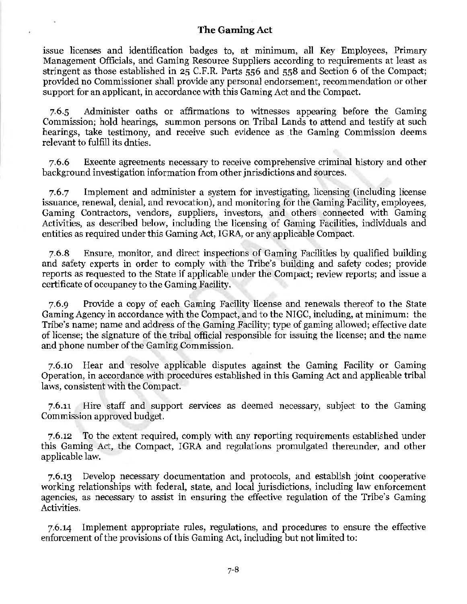issue licenses and identification badges to, at minimum, all Key Employees, Primary Management Officials, and Gaming Resource Suppliers according to requirements at least as stringent as those established in 25 C.F.R. Parts 556 and 558 and Section 6 of the Compact; provided no Commissioner shall provide any personal endorsement, recommendation or other support for an applicant, in accordance with this Gaming Act and the Compact.

7.6.5 Administer oaths or affirmations to witnesses appearing before the Gaming Commission; hold hearings, summon persons on Tribal Lands to attend and testify at such hearings, take testimony, and receive such evidence as the Gaming Commission deems relevant to fulfill its duties.

7.6.6 Execute agreements necessary to receive comprehensive criminal history and other background investigation information from other inrisdictions and sources.

7.6. 7 Implement and administer a system for investigating, licensing (including license issuance, renewal, denial, and revocation), and monitoring for the Gaming Facility, employees, Gaming Contractors, vendors, suppliers, investors, and others connected with Gaming Activities, as described below, including the licensing of Gaming Facilities, individuals and entities as required under this Gaming Act, IGRA, or any applicable Compact.

7.6.8 Ensure, monitor, and direct inspections of Gaming Facilities by qualified building and safety experts in order to comply with the Tribe's building and safety codes; provide reports as requested to the State if applicable under the Compact; review reports; and issue a certificate of occupancy to the Gaming Facility.

7.6.9 Provide a copy of each Gaming Facility license and renewals thereof to the State Gaming Agency in accordance with the Compact, and to the NIGC, including, at minimum: the Tribe's name; name and address of the Gaming Facility; type of gaming allowed; effective date of license; the signature of the tribal official responsible for issuing the license; and the name and phone number of the Gaming Commission.

7.6.10 Hear and resolve applicable disputes against the Gaming Facility or Gaming Operation, in accordance with procedures established in this Gaming Act and applicable tribal laws, consistent with the Compact.

7.6.11 Hire staff and support services as deemed necessary, subject to the Gaming Commission approved budget.

7.6.12 To the extent required, comply with any reporting requirements established under this Gaming Act, the Compact, IGRA and regulations promulgated thereunder, and other applicable law.

7.6.13 Develop necessary documentation and protocols, and establish joint cooperative working relationships with federal, state, and local jurisdictions, including law enforcement agencies, as necessary to assist in ensuring the effective regulation of the Tribe's Gaming Activities.

7.6.14 Implement appropriate rules, regulations, and procedures to ensure the effective enforcement of the provisions of this Gaming Act, including but not limited to: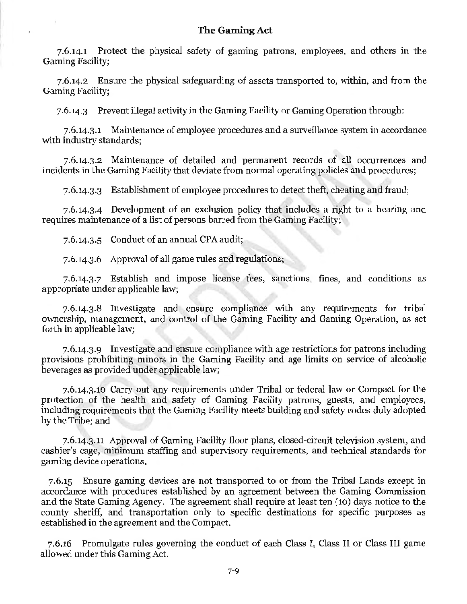7.6.14.1 Protect the physical safety of gaming patrons, employees, and others in the Gaming Facility;

7.6.14.2 Ensure the physical safeguarding of assets transported to, within, and from the Gaming Facility;

7.6.14.3 Prevent illegal activity in the Gaming Facility or Gaming Operation through:

7.6.14.3.1 Maintenance of employee procedures and a surveillance system in accordance with industry standards;

7.6.14.3.2 Maintenance of detailed and permanent records of all occurrences and incidents in the Gaming Facility that deviate from normal operating policies and procedures;

7.6.14.3.3 Establishment of employee procedures to detect theft, cheating and fraud;

7.6.14.3-4 Development of an exclusion policy that includes a right to a hearing and requires maintenance of a list of persons barred from the Gaming Facility;

7.6.14.3.5 Conduct of an annual CPA audit;

7.6.14.3.6 Approval of all game rules and regulations;

7.6.14.3. 7 Establish and impose license fees, sanctions, fines, and conditions as appropriate under applicable law;

7.6.14.3.8 Investigate and ensure compliance with any requirements for tribal ownership, management, and control of the Gaming Facility and Gaming Operation, as set forth in applicable law;

7.6.14.3.9 Investigate and ensure compliance with age restrictions for patrons including provisions prohibiting minors in the Gaming Facility and age limits on service of alcoholic beverages as provided under applicable law;

7.6.14.3.10 Carry out any requirements under Tribal or federal law or Compact for the protection of the health and safety of Gaming Facility patrons, guests, and employees, including requirements that the Gaming Facility meets building and safety codes duly adopted by the Tribe; and

7.6.14.3.11 Approval of Gaming Facility floor plans, closed-circuit television system, and cashier's cage, minimum staffing and supervisory requirements, and technical standards for gaming device operations.

7.6.15 Ensure gaming devices are not transported to or from the Tribal Lands except in accordance with procedures established by an agreement between the Gaming Commission and the State Gaming Agency. The agreement shall require at least ten (10) days notice to the county sheriff, and transportation only to specific destinations for specific purposes as established in the agreement and the Compact.

7.6.16 Promulgate rules governing the conduct of each Class I, Class II or Class III game allowed under this Gaming Act.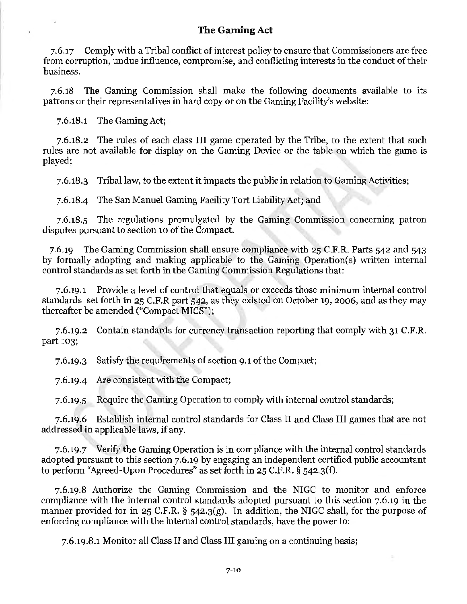7.6.17 Comply with a Tribal conflict of interest policy to ensure that Commissioners are free from corruption, undue influence, compromise, and conflicting interests in the conduct of their business.

7.6.18 The Gaming Commission shall make the following documents available to its patrons or their representatives in hard copy or on the Gaming Facility's website:

7.6.18.1 The Gaming Act;

7.6.18.2 The rules of each class III game operated by the Tribe, to the extent that such rules are not available for display on the Gaming Device or the table on which the game is played;

7.6.18.3 Tribal law, to the extent it impacts the public in relation to Gaming Activities;

7.6.18-4 The San Manuel Gaming Facility Tort Liability Act; and

7.6.18.5 The regulations promulgated by the Gaming Commission concerning patron disputes pursuant to section 10 of the Compact.

7.6.19 The Gaming Commission shall ensure compliance with 25 C.F.R. Parts 542 and 543 by formally adopting and making applicable to the Gaming Operation(s) vvritten internal control standards as set forth in the Gaming Commission Regulations that:

7.6.19.1 Provide a level of control that equals or exceeds those minimum internal control standards set forth in 25 C.F.R part 542, as they existed on October 19, 2006, and as they may thereafter be amended ("Compact MICS");

7.6.19.2 Contain standards for currency transaction reporting that comply with 31 C.F.R. part 103;

7.6.19.3 Satisfy the requirements of section 9.1 of the Compact;

7.6.19-4 Are consistent with the Compact;

7.6.19.5 Require the Gaming Operation to comply with internal control standards;

7.6.19.6 Establish internal control standards for Class II and Class III games that are not addressed in applicable laws, if any.

7.6.19.7 Verify the Gaming Operation is in compliance with the internal control standards adopted pursuant to this section 7.6.19 by engaging an independent certified public accountant to perform "Agreed-Upon Procedures" as set forth in 25 C.F.R. § 542.3(f).

7.6.19.8 Authorize the Gaming Commission and the NIGC to monitor and enforce compliance with the internal control standards adopted pursuant to this section 7.6.19 in the manner provided for in 25 C.F.R. § 542.3(g). In addition, the NIGC shall, for the purpose of enforcing compliance with the internal control standards, have the power to:

7.6.19.8.1 Monitor all Class II and Class III gaming on a continuing basis;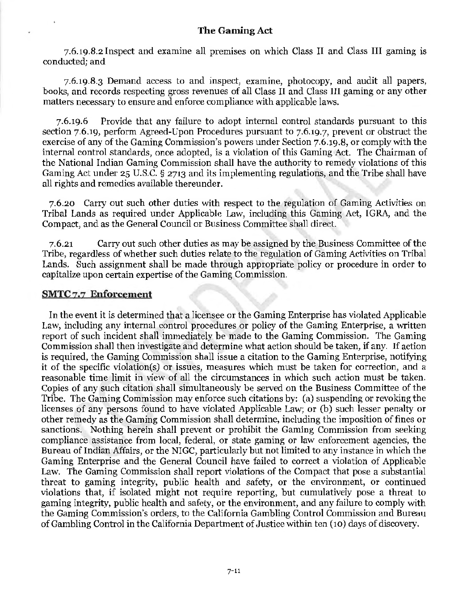7.6.19.8.2 Inspect and examine all premises on which Class II and Class III gaming is conducted; and

7.6.19.8.3 Demand access to and inspect, examine, photocopy, and audit all papers, books, and records respecting gross revenues of all Class II and Class III gaming or any other matters necessary to ensure and enforce compliance with applicable laws.

7.6.19.6 Provide that any failure to adopt internal control standards pursuant to this section 7.6.19, perform Agreed-Upon Procedures pursuant to 7.6.19.7, prevent or obstruct the exercise of any of the Gaming Commission's powers under Section 7.6.19.8, or comply with the internal control standards, once adopted, is a violation of this Gaming Act. The Chairman of the National Indian Gaming Commission shall have the authority to remedy violations of this Gaming Act under 25 U.S.C. § 2713 and its implementing regulations, and the Tribe shall have all rights and remedies available thereunder.

7.6.20 Carry out such other duties with respect to the regulation of Gaming Activities on Tribal Lands as required under Applicable Law, including this Gaming Act, IGRA, and the Compact, and as the General Council or Business Committee shall direct.

7.6.21 Carry out such other duties as may be assigned by the Business Committee of the Tribe, regardless of whether such duties relate to the regulation of Gaming Activities on Tribal Lands. Such assignment shall be made through appropriate policy or procedure in order to capitalize upon certain expertise of the Gaming Commission.

### **SMTC** 7.7 **Enforcement**

In the event it is determined that a licensee or the Gaming Enterprise has violated Applicable Law, including any internal control procedures or policy of the Gaming Enterprise, a written report of such incident shall immediately be made to the Gaming Commission. The Gaming Commission shall then investigate and determine what action should be taken, if any. If action is required, the Gaming Commission shall issue a citation to the Gaming Enterprise, notifying it of the specific violation(s) or issues, measures which must be taken for correction, and a reasonable time limit in view of all the circumstances in which such action must be taken. Copies of any such citation shall simultaneously be served on the Business Committee of the Tribe. The Gaming Commission may enforce such citations by: (a) suspending or revoking the licenses of any persons found to have violated Applicable Law; or (b) such lesser penalty or other remedy as the Gaming Commission shall determine, including the imposition of fines or sanctions. Nothing herein shall prevent or prohibit the Gaming Commission from seeking compliance assistance from local, federal, or state gaming or law enforcement agencies, the Bureau of Indian Affairs, or the NIGC, particularly but not limited to any instance in which the Gaming Enterprise and the General Council have failed to correct a violation of Applicable Law. The Gaming Commission shall report violations of the Compact that pose a substantial threat to gaming integrity, public health and safety, or the environment, or continued violations that, if isolated might not require reporting, but cumulatively pose a threat to gaming integrity, public health and safety, or the environment, and any failure to comply with the Gaming Commission's orders, to the California Gambling Control Commission and Bureau of Gambling Control in the California Department of Justice within ten (10) days of discovery.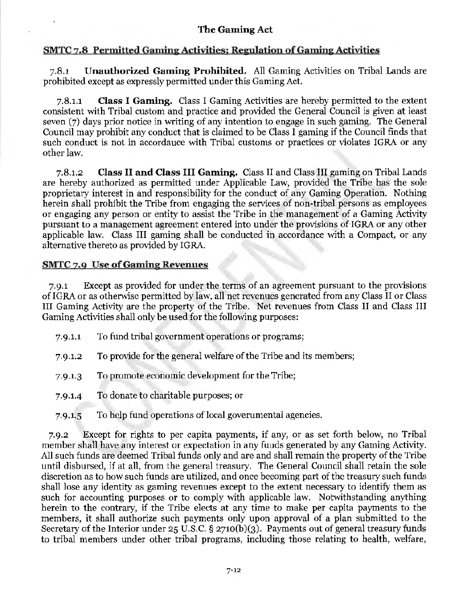# SMTC 7.8 Permitted Gaming Activities; Regulation of Gaming Activities

7.8.1 Unauthorized Gaming Prohibited. All Gaming Activities on Tribal Lands are prohibited except as expressly permitted under this Gaming Act.

7.8.1.1 Class I Gaming. Class I Gaming Activities are hereby permitted to the extent consistent with Tribal custom and practice and provided the General Council is given at least seven (7) days prior notice in writing of any intention to engage in such gaming. The General Council may prohibit any conduct that is claimed to be Class I gaming if the Council finds that such conduct is not in accordance with Tribal customs or practices or violates IGRA or any other law.

7.8.1.2 Class II and Class III Gaming. Class II and Class III gaming on Tribal Lands are hereby authorized as permitted under Applicable Law, provided the Tribe has the sole proprietary interest in and responsibility for the conduct of any Gaming Operation. Nothing herein shall prohibit the Tribe from engaging the services of non-tribal persons as employees or engaging any person or entity to assist the Tribe in the management of a Gaming Activity pursuant to a management agreement entered into under the provisions of IGRA or any other applicable law. Class III gaming shall be conducted in accordance with a Compact, or any alternative thereto as provided by IGRA.

# SMTC 7.9 Use of Gaming Revenues

7.9.1 Except as provided for under the terms of an agreement pursuant to the provisions of IGRA or as otherwise permitted by law, all net revenues generated from any Class II or Class III Gaming Activity are the property of the Tribe. Net revenues from Class II and Class III Gaming Activities shall only be used for the following purposes:

- 7.9.i.1 To fund tribal government operations or programs;
- 7.9.i.2 To provide for the general welfare of the Tribe and its members;
- 7.9.i.3 To promote economic development for the Tribe;
- 7.9.1.4 To donate to charitable purposes; or
- 7.9.1.5 To help fund operations of local governmental agencies.

7.9.2 Except for rights to per capita payments, if any, or as set forth below, no Tribal member shall have any interest or expectation in any funds generated by any Gaming Activity. All such funds are deemed Tribal funds only and are and shall remain the property of the Tribe until disbursed, if at all, from the general treasury. The General Council shall retain the sole discretion as to how such funds are utilized, and once becoming part of the treasury such funds shall lose any identity as gaming revenues except to the extent necessary to identify them as such for accounting purposes or to comply with applicable law. Notwithstanding anything herein to the contrary, if the Tribe elects at any time to make per capita payments to the members, it shall authorize such payments only upon approval of a plan submitted to the Secretary of the Interior under 25 U.S.C. § 2710(b)(3). Payments out of general treasury funds to tribal members under other tribal programs, including those relating to health, welfare,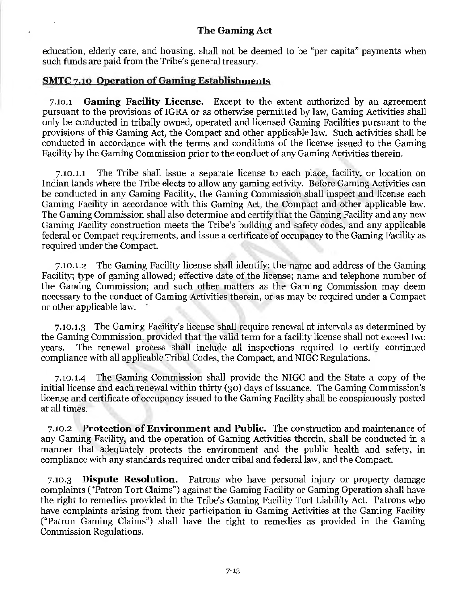education, elderly care, and housing, shall not be deemed to be "per capita" payments when such funds are paid from the Tribe's general treasury.

### **SMTC 7.10 Operation of Gaming Establishments**

7.10.1 **Gaming Facility License.** Except to the extent authorized by an agreement pursuant to the provisions of IGRA or as otherwise permitted by law, Gaming Activities shall only be conducted in tribally owned, operated and licensed Gaming Facilities pursuant to the provisions of this Gaming Act, the Compact and other applicable law. Such activities shall be conducted in accordance with the terms and conditions of the license issued to the Gaming Facility by the Gaming Commission prior to the conduct of any Gaming Activities therein.

7.10.i.1 The Tribe shall issue a separate license to each place, facility, or location on Indian lands where the Tribe elects to allow any gaming activity. Before Gaming Activities can be conducted in any Gaming Facility, the Gaming Commission shall inspect and license each Gaming Facility in accordance with this Gaming Act, the Compact and other applicable law. The Gaming Commission shall also determine and certify that the Gaming Facility and any new Gaming Facility construction meets the Tribe's building and safety codes, and any applicable federal or Compact requirements, and issue a certificate of occupancy to the Gaming Facility as required under the Compact.

7.10.i.2 The Gaming Facility license shall identify: the name and address of the Gaming Facility; type of gaming allowed; effective date of the license; name and telephone number of the Gaming Commission; and such other matters as the Gaming Commission may deem necessary to the conduct of Gaming Activities therein, or as may be required under a Compact or other applicable law.

7.10.i.3 The Gaming Facility's license shall require renewal at intervals as determined by the Gaming Commission, provided that the valid term for a facility license shall not exceed two years. The renewal process shall include all inspections required to certify continued compliance with all applicable Tribal Codes, the Compact, and NIGC Regulations.

7.10.i.4 The Gaming Commission shall provide the NIGC and the State a copy of the initial license and each renewal within thirty (30) days of issuance. The Gaming Commission's license and certificate of occupancy issued to the Gaming Facility shall be conspicuously posted at all times.

7.10.2 **Protection of Environment and Public.** The construction and maintenance of any Gaming Facility, and the operation of Gaming Activities therein, shall be conducted in a manner that adequately protects the environment and the public health and safety, in compliance with any standards required under tribal and federal law, and the Compact.

7 .10.3 **Dispute Resolution.** Patrons who have personal injury or property damage complaints ("Patron Tort Claims") against the Gaming Facility or Gaming Operation shall have the right to remedies provided in the Tribe's Gaming Facility Tort Liability Act. Patrons who have complaints arising from their participation in Gaming Activities at the Gaming Facility ("Patron Gaming Claims") shall have the right to remedies as provided in the Gaming Commission Regulations.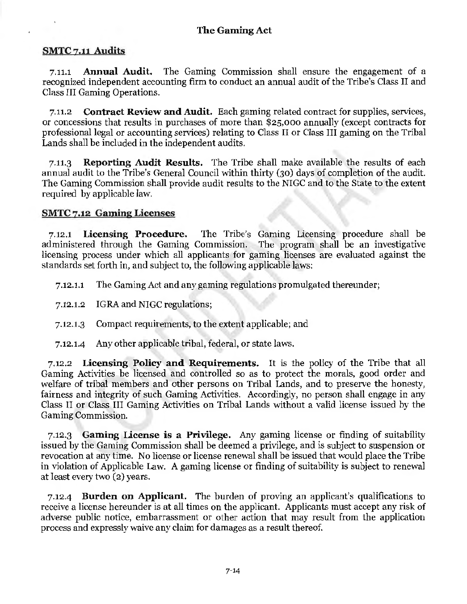# SMTC 7.11 Audits

7.11.1 Annual Audit. The Gaming Commission shall ensure the engagement of a recognized independent accounting firm to conduct an annual audit of the Tribe's Class II and Class III Gaming Operations.

7.11.2 Contract Review and Audit. Each gaming related contract for supplies, services, or concessions that results in purchases of more than \$25,000 annually (except contracts for professional legal or accounting services) relating to Class II or Class III gaming on the Tribal Lands shall be included in the independent audits.

7.11.3 Reporting Audit Results. The Tribe shall make available the results of each annual audit to the Tribe's General Council within thirty (30) days of completion of the audit. The Gaming Commission shall provide audit results to the NIGC and to the State to the extent required by applicable law.

# SMTC 7.12 Gaming Licenses

7.12.1 Licensing Procedure. The Tribe's Gaming Licensing procedure shall be administered through the Gaming Commission. The program shall be an investigative licensing process under which all applicants for gaming licenses are evaluated against the standards set forth in, and subject to, the following applicable laws:

7.12.1.1 The Gaming Act and any gaming regulations promulgated thereunder;

7.12.I.2 IGRA and NIGC regulations;

7.12.I.3 Compact requirements, to the extent applicable; and

7.12.i.4 Any other applicable tribal, federal, or state laws.

7.12.2 Licensing Policy and Requirements. It is the policy of the Tribe that all Gaming Activities be licensed and controlled so as to protect the morals, good order and welfare of tribal members and other persons on Tribal Lands, and to preserve the honesty, fairness and integrity of such Gaming Activities. Accordingly, no person shall engage in any Class II or Class III Gaming Activities on Tribal Lands without a valid license issued by the Gaming Commission.

7.12.3 Gaming License is a Privilege. Any gaming license or finding of suitability issued by the Gaming Commission shall be deemed a privilege, and is subject to suspension or revocation at any time. No license or license renewal shall be issued that would place the Tribe in violation of Applicable Law. A gaming license or finding of suitability is subject to renewal at least every two (2) years.

7.12-4 Burden on Applicant. The burden of proving an applicant's qualifications to receive a license hereunder is at all times on the applicant. Applicants must accept any risk of adverse public notice, embarrassment or other action that may result from the application process and expressly waive any claim for damages as a result thereof.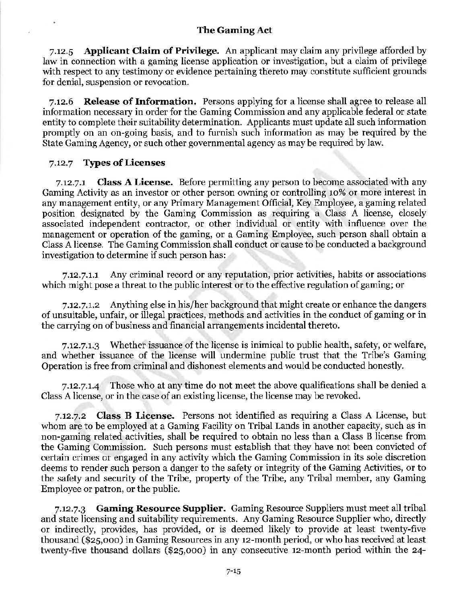7.12.5 Applicant Claim of Privilege. An applicant may claim any privilege afforded by law in connection with a gaming license application or investigation, but a claim of privilege with respect to any testimony or evidence pertaining thereto may constitute sufficient grounds for denial, suspension or revocation.

7.12.6 Release of Information. Persons applying for a license shall agree to release all information necessary in order for the Gaming Commission and any applicable federal or state entity to complete their suitability determination. Applicants must update all such information promptly on an on-going basis, and to furnish such information as may be required by the State Gaming Agency, or such other governmental agency as may be required by law.

#### 7.12.7 Types of Licenses

7.12.7.1 Class A License. Before permitting any person to become associated with any Gaming Activity as an investor or other person owning or controlling io% or more interest in any management entity, or any Primary Management Official, Key Employee, a gaming related position designated by the Gaming Commission as requiring a Class A license, closely associated independent contractor, or other individual or entity with influence over the management or operation of the gaming, or a Gaming Employee, such person shall obtain a Class A license. The Gaming Commission shall conduct or cause to be conducted a background investigation to determine if such person has:

7.12.7.1.1 Any criminal record or any reputation, prior activities, habits or associations which might pose a threat to the public interest or to the effective regulation of gaming; or

7.12.7.i.2 Anything else in his/her background that might create or enhance the dangers of unsuitable, unfair, or illegal practices, methods and activities in the conduct of gaming or in the carrying on of business and financial arrangements incidental thereto.

7.12.7.i.3 Whether issuance of the license is inimical to public health, safety, or welfare, and whether issuance of the license will undermine public trust that the Tribe's Gaming Operation is free from criminal and dishonest elements and would be conducted honestly.

7.12.7.t.4 Those who at any time do not meet the above qualifications shall be denied a Class A license, or in the case of an existing license, the license may be revoked.

7.12.7.2 Class B License. Persons not identified as requiring a Class A License, but whom are to be employed at a Gaming Facility on Tribal Lands in another capacity, such as in non-gaming related activities, shall be required to obtain no less than a Class B license from the Gaming Commission. Such persons must establish that they have not been convicted of certain crimes or engaged in any activity which the Gaming Commission in its sole discretion deems to render such person a danger to the safety or integrity of the Gaming Activities, or to the safety and security of the Tribe, property of the Tribe, any Tribal member, any Gaming Employee or patron, or the public.

7.12.7.3 Gaming Resource Supplier. Gaming Resource Suppliers must meet all tribal and state licensing and suitability requirements. Any Gaming Resource Supplier who, directly or indirectly, provides, has provided, or is deemed likely to provide at least twenty-five thousand (\$25,000) in Gaming Resources in any 12-month period, or who has received at least twenty-five thousand dollars (\$25,000) in any consecutive 12-month period within the  $24$ -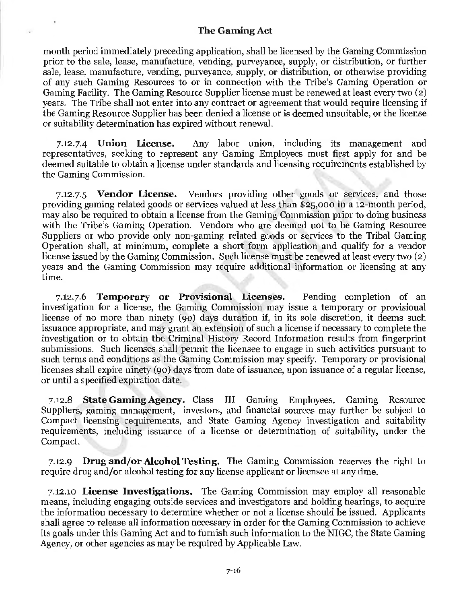month period immediately preceding application, shall be licensed by the Gaming Commission prior to the sale, lease, manufacture, vending, purveyance, supply, or distribution, or further sale, lease, manufacture, vending, purveyance, supply, or distribution, or otherwise providing of any such Gaming Resources to or in connection with the Tribe's Gaming Operation or Gaming Facility. The Gaming Resource Supplier license must be renewed at least every two (2) years. The Tribe shall not enter into any contract or agreement that would require licensing if the Gaming Resource Supplier has been denied a license or is deemed unsuitable, or the license or suitability determination has expired without renewal.

7.12.7-4 Union License. Any labor union, including its management and representatives, seeking to represent any Gaming Employees must first apply for and be deemed suitable to obtain a license under standards and licensing requirements established by the Gaming Commission.

7.12.7.5 Vendor License. Vendors providing other goods or services, and those providing gaming related goods or services valued at less than \$25,000 in a 12-month period, may also be required to obtain a license from the Gaming Commission prior to doing business with the Tribe's Gaming Operation. Vendors who are deemed uot to be Gaming Resource Suppliers or who provide only non-gaming related goods or services to the Tribal Gaming Operation shall, at minimum, complete a short form application and qualify for a vendor license issued by the Gaming Commission. Such license must be renewed at least every two (2) years and the Gaming Commission may require additional information or licensing at any time.

7.12.7.6 Temporary or Provisional Licenses. Pending completion of an investigation for a license, the Gaming Commission may issue a temporary or provisional license of no more than ninety (90) days duration if, in its sole discretion, it deems such issuance appropriate, and may grant an extension of such a license if necessary to complete the investigation or to obtain the Criminal History Record Information results from fingerprint submissions. Such licenses shall permit the licensee to engage in such activities pursuant to such terms and conditions as the Gaming Commission may specify. Temporary or provisional licenses shall expire ninety (90) days from date of issuance, upon issuance of a regular license, or until a specified expiration date.

7.12.8 State Gaming Agency. Class III Gaming Employees, Gaming Resource Suppliers, gaming management, investors, and financial sources may further be subject to Compact licensing requirements, and State Gaming Agency investigation and suitability requirements, including issuance of a license or determination of suitability, under the Compact.

7.12.9 Drug and/or Alcohol Testing. The Gaming Commission reserves the right to require drug and/or alcohol testing for any license applicant or licensee at anytime.

7.12.10 License Investigations. The Gaming Commission may employ all reasonable means, including engaging outside services and investigators and holding hearings, to acquire the information necessary to determine whether or not a license should be issued. Applicants shall agree to release all information necessary in order for the Gaming Commission to achieve its goals under this Gaming Act and to furnish such information to the NIGC, the State Gaming Agency, or other agencies as may be required by Applicable Law.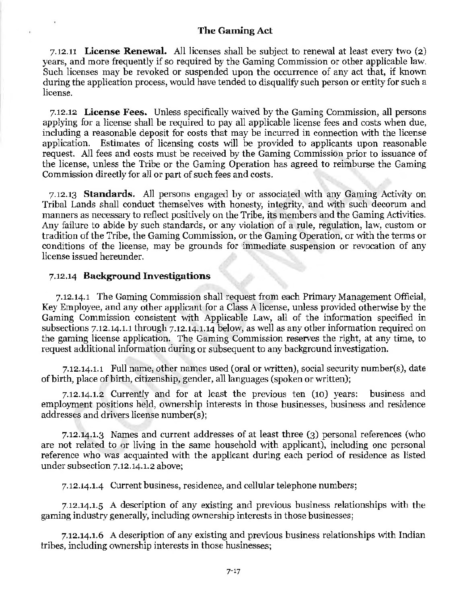7 .12.11 License Renewal. All licenses shall be subject to renewal at least every two (2) years, and more frequently if so required by the Gaming Commission or other applicable law. Such licenses may be revoked or suspended upon the occurrence of any act that, if known during the application process, would have tended to disqualify such person or entity for such a license.

7.12.12 License Fees. Unless specifically waived by the Gaming Commission, all persons applying for a license shall be required to pay all applicable license fees and costs when due, including a reasonable deposit for costs that may be incurred in connection with the license application. Estimates of licensing costs will be provided to applicants upon reasonable request. All fees and costs must be received by the Gaming Commission prior to issuance of the license, unless the Tribe or the Gaming Operation has agreed to reimburse the Gaming Commission directly for all or part of such fees and costs.

7.12.13 Standards. All persons engaged by or associated with any Gaming Activity on Tribal Lands shall conduct themselves with honesty, integrity, and with such decorum and manners as necessary to reflect positively on the Tribe, its members and the Gaming Activities. Any failure to abide by such standards, or any violation of a rule, regulation, law, custom or tradition of the Tribe, the Gaming Commission, or the Gaming Operation, or with the terms or conditions of the license, may be grounds for immediate suspension or revocation of any license issued hereunder.

#### 7.12.14 Background Investigations

7 .12.14.1 The Gaming Commission shall request from each Primary Management Official, Key Employee, and any other applicant for a Class A license, unless provided otherwise by the Gaming Commission consistent with Applicable Law, all of the information specified in subsections 7.12.14.1.1 through 7.12.14.1.14 below, as well as any other information required on the gaming license application. The Gaming Commission reserves the right, at any time, to request additional information during or subsequent to any background investigation.

7.12.14.i.1 Full name, other names used (oral or written), social security number(s), date of birth, place of birth, citizenship, gender, all languages (spoken or written);

7.12.14.1.2 Currently and for at least the previous ten (10) years: business and employment positions held, ownership interests in those businesses, business and residence addresses and drivers license number(s);

7.12.14.i.3 Names and current addresses of at least three (3) personal references (who are not related to or living in the same household with applicant), including one personal reference who was acquainted with the applicant during each period of residence as listed under subsection 7.12.14.1.2 above;

7.12.14.l-4 Current business, residence, and cellular telephone numbers;

7.12.14.i.5 A description of any existing and previous business relationships with the gaming industry generally, including ownership interests in those businesses;

7.12.14.i.6 A description of any existing and previous business relationships with Indian tribes, including ownership interests in those businesses;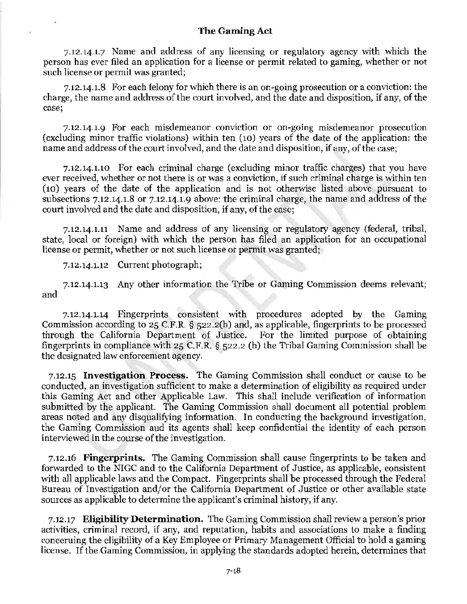7.12.14.1.7 Name and address of any licensing or regulatory agency with which the person has ever filed an application for a license or permit related to gaming, whether or not such license or permit was granted;

7.12.14.i.8 For each felony for which there is an on-going prosecution or a conviction: the charge, the name and address of the court involved, and the date and disposition, if any, of the case;

7.12.14.i.9 For each misdemeanor conviction or on-going misdemeanor prosecution (excluding minor traffic violations) within ten (10) years of the date of the application: the name and address of the court involved, and the date and disposition, if any, of the case;

7.12.14.i.10 For each criminal charge (excluding minor traffic charges) that you have ever received, whether or not there is or was a conviction, if such criminal charge is within ten (10) years of the date of the application and is not otherwise listed above pursuant to subsections 7.12.14.i.8 or 7.12.14.1.9 above: the criminal charge, the name and address of the court involved and the date and disposition, if any, of the case;

7.12.14.1.11 Name and address of any licensing or regulatory agency (federal, tribal, state, local or foreign) with which the person has filed an application for an occupational license or permit, whether or not such license or permit was granted;

7.12.14.i.12 Current photograph;

7.12.14.1.13 Any other information the Tribe or Gaming Commission deems relevant; and

7.12.14.1.14 Fingerprints consistent with procedures adopted by the Gaming Commission according to 25 C.F.R. § 522.2(h) and, as applicable, fingerprints to be processed through the California Department of Justice. For the limited purpose of obtaining fingerprints in compliance with 25 C.F.R. § 522.2 (h) the Tribal Gaming Commission shall be the designated law enforcement agency.

7.12.15 **Investigation Process.** The Gaming Commission shall conduct or cause to be conducted, an investigation sufficient to make a determination of eligibility as required under this Gaming Act and other Applicable Law. This shall include verification of information submitted by the applicant. The Gaming Commission shall document all potential problem areas noted and any disqualifying information. In conducting the background investigation, the Gaming Commission and its agents shall keep confidential the identity of each person interviewed in the course of the investigation.

7.12.16 **Fingerprints.** The Gaming Commission shall cause fingerprints to be taken and forwarded to the NIGC and to the California Department of Justice, as applicable, consistent with all applicable laws and the Compact. Fingerprints shall be processed through the Federal Bureau of Investigation and/or the California Department of Justice or other available state sources as applicable to determine the applicant's criminal history, if any.

7.12.17 **Eligibility Determination.** The Gaming Commission shall review a person's prior activities, criminal record, if any, and reputation, habits and associations to make a finding concerning the eligibility of a Key Employee or Primary Management Official to hold a gaming license. If the Gaming Commission, in applying the standards adopted herein, determines that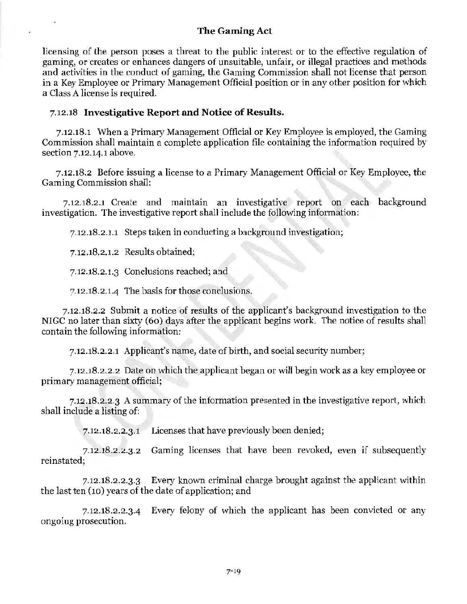licensing of the person poses a threat to the public interest or to the effective regulation of gaming, or creates or enhances dangers of unsuitable, unfair, or illegal practices and methods and activities in the conduct of gaming, the Gaming Commission shall not license that person in a Key Employee or Primary Management Official position or in any other position for which a Class A license is required.

### 7.12.18 **Investigative Report and Notice of Results.**

7 .12.18.1 When a Primary Management Official or Key Employee is employed, the Gaming Commission shall maintain a complete application file containing the information required by section 7.12.14.1 above.

7.12.18.2 Before issuing a license to a Primary Management Official or Key Employee, the Gaming Commission shall:

7.12.18.2.1 Create and maintain an investigative report on each background investigation. The investigative report shall include the following information:

7.12.18.2.i.1 Steps taken in conducting a background investigation;

7.12.18.2.1.2 Results obtained;

7.12.18.2.t.3 Conclusions reached; and

7.12.18.2.i.4 The basis for those conclusions.

7.12.18.2.2 Submit a notice of results of the applicant's background investigation to the NIGC no later than sixty (60) days after the applicant begins work. The notice of results shall contain the following information:

7.12.18.2.2.1 Applicant's name, date of birth, and social security number;

7.12.18.2.2.2 Date on which the applicant began or will begin work as a key employee or primary management official;

7.12.18.2.2.3 A summary of the information presented in the investigative report, which shall include a listing of:

7.12.18.2.2.3.1 Licenses that have previously been denied;

7.12.18.2.2.3.2 Gaming licenses that have been revoked, even if subsequently reinstated;

7.12.18.2.2.3.3 Every known criminal charge brought against the applicant within the last ten (10) years of the date of application; and

7 .12.18.2.2 .3 .4 Every felony of which the applicant has been convicted or any ongoing prosecution.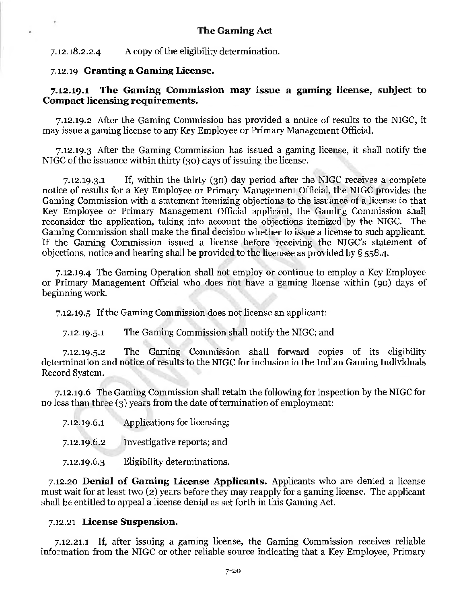7.12.18.2.2.4 A copy of the eligibility determination.

#### 7.12.19 Granting a Gaming License.

×,

### 7.12.19.1 The Gaming Commission may issue a gaming license, subject to Compact licensing requirements.

7.12.19.2 After the Gaming Commission has provided a notice of results to the NIGC, it may issue a gaming license to any Key Employee or Primary Management Official.

7.12.19.3 After the Gaming Commission has issued a gaming license, it shall notify the NIGC of the issuance within thirty (30) days of issuing the license.

7.12.19.3.1 If, within the thirty (30) day period after the NIGC receives a complete notice of results for a Key Employee or Primary Management Official, the NIGC provides the Gaming Commission with a statement itemizing objections to the issuance of a license to that Key Employee or Primary Management Official applicant, the Gaming Commission shall reconsider the application, taking into account the objections itemized by the NIGC. The Gaming Commission shall make the final decision whether to issue a license to such applicant. If the Gaming Commission issued a license before receiving the NIGC's statement of objections, notice and hearing shall be provided to the licensee as provided by§ 5584.

7.12.19-4 The Gaming Operation shall not employ or continue to employ a Key Employee or Primary Management Official who does not have a gaming license within ( 90) days of beginning work.

7.12.19.5 If the Gaming Commission does not license an applicant:

7.12.19.5.1 The Gaming Commission shall notify the NIGC; and

7.12.19.5.2 The Gaming Commission shall forward copies of its eligibility determination and notice of results to the NIGC for inclusion in the Indian Gaming Individuals Record System.

7.12.19.6 The Gaming Commission shall retain the following for inspection by the NIGC for no less than three (3) years from the date of termination of employment:

| 7.12.19.6.1 | Applications for licensing; |  |
|-------------|-----------------------------|--|
|-------------|-----------------------------|--|

- 7.12.19.6.2 Investigative reports; and
- 7.12.19.6.3 Eligibility determinations.

7.12.20 Denial of Gaming License Applicants. Applicants who are denied a license must wait for at least two (2) years before they may reapply for a gaming license. The applicant shall be entitled to appeal a license denial as set forth in this Gaming Act.

#### 7.12.21 License Suspension.

7.12.2i.1 If, after issuing a gaming license, the Gaming Commission receives reliable information from the NIGC or other reliable source indicating that a Key Employee, Primary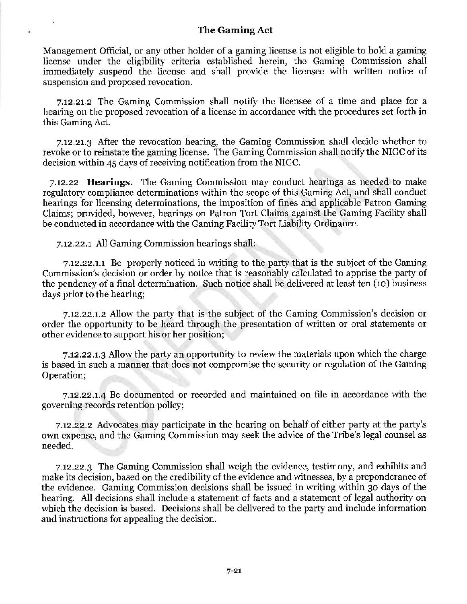Management Official, or any other holder of a gaming license is not eligible to hold a gaming license under the eligibility criteria established herein, the Gaming Commission shall immediately suspend the license and shall provide the licensee with written notice of suspension and proposed revocation.

7.12.21.2 The Gaming Commission shall notify the licensee of a time and place for a hearing on the proposed revocation of a license in accordance with the procedures set forth in this Gaming Act.

7.12.21.3 After the revocation hearing, the Gaming Commission shall decide whether to revoke or to reinstate the gaming license. The Gaming Commission shall notify the NIGC of its decision within 45 days of receiving notification from the NIGC.

7.12.22 **Hearings.** The Gaming Commission may conduct hearings as needed to make regulatory compliance determinations within the scope of this Gaming Act, and shall conduct hearings for licensing determinations, the imposition of fines and applicable Patron Gaming Claims; provided, however, hearings on Patron Tort Claims against the Gaming Facility shall be conducted in accordance with the Gaming Facility Tort Liability Ordinance.

7.12.22.1 All Gaming Commission hearings shall:

¥

7.12.22.1.1 Be properly noticed in writing to the party that is the subject of the Gaming Commission's decision or order by notice that is reasonably calculated to apprise the party of the pendency of a final determination. Such notice shall be delivered at least ten (10) business days prior to the hearing;

7.12.22.t.2 Allow the party that is the subject of the Gaming Commission's decision or order the opportunity to be heard through the presentation of written or oral statements or other evidence to support his or her position;

7.12.22.1.3 Allow the party an opportunity to review the materials upon which the charge is based in such a manner that does not compromise the security or regulation of the Gaming Operation;

 $7.12.22.1.4$  Be documented or recorded and maintained on file in accordance with the governing records retention policy;

7.12.22.2 Advocates may participate in the hearing on behalf of either party at the party's own expense, and the Gaming Commission may seek the advice of the Tribe's legal counsel as needed.

7.12.22.3 The Gaming Commission shall weigh the evidence, testimony, and exhibits and make its decision, based on the credibility of the evidence and witnesses, by a preponderance of the evidence. Gaming Commission decisions shall be issued in writing within 30 days of the hearing. All decisions shall include a statement of facts and a statement of legal authority on which the decision is based. Decisions shall be delivered to the party and include information and instructions for appealing the decision.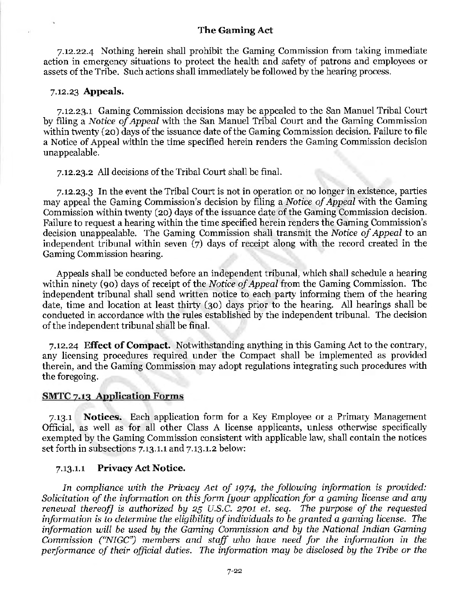7.12.22.4 Nothing herein shall prohibit the Gaming Commission from taldng immediate action in emergency situations to protect the health and safety of patrons and employees or assets of the Tribe. Such actions shall immediately be followed by the hearing process.

#### 7.12.23 Appeals.

7.12.23.1 Gaming Commission decisions may be appealed to the San Manuel Tribal Court by filing a *Notice of Appeal* with the San Manuel Tribal Court and the Gaming Commission within twenty (20) days of the issuance date of the Gaming Commission decision. Failure to file a Notice of Appeal within the time specified herein renders the Gaming Commission decision unappealable.

7.12.23.2 All decisions of the Tribal Court shall be final.

7.12.23.3 In the event the Tribal Court is not in operation or no longer in existence, parties may appeal the Gaming Commission's decision by filing a *Notice of Appeal* with the Gaming Commission within twenty (20) days of the issuance date of the Gaming Commission decision. Failure to request a hearing within the time specified herein renders the Gaming Commission's decision unappealable. The Gaming Commission shall transmit the *Notice of Appeal* to an independent tribunal within seven (7) days of receipt along with the record created in the Gaming Commission hearing.

Appeals shall be conducted before an independent tribunal, which shall schedule a hearing within ninety (90) days of receipt of the *Notice of Appeal* from the Gaming Commission. The independent tribunal shall send written notice to each party informing them of the hearing date, time and location at least thirty (30) days prior to the hearing. All hearings shall be conducted in accordance with the rules established by the independent tribunal. The decision of the independent tribunal shall be final.

7.12.24 Effect of Compact. Notwithstanding anything in this Gaming Act to the contrary, any licensing procedures required under the Compact shall be implemented as provided therein, and the Gaming Commission may adopt regulations integrating such procedures with the foregoing.

#### SMTC 7.13 Application Forms

7.13.1 Notices. Each application form for a Key Employee or a Primary Management Official, as well as for all other Class A license applicants, unless otherwise specifically exempted by the Gaming Commission consistent with applicable law, shall contain the notices set forth in subsections 7.13.1.1 and 7.13.1.2 below:

#### 7.13.i.1 Privacy Act Notice.

In compliance with the Privacy Act of 1974, the following information is provided: *Solicitation of the information on this form [your application for a gaming license and any renewal thereof] is authorized by* 25 *U.S.C.* 2701 *et. seq. The purpose of the requested information is to determine the eligibility of individuals to be granted a gaming license. The information will be used by the Gaming Commission and by the National Indian Gaming Commission ("NIGG'') members and staff who have need for the information in the performance of their· official duties. The information may be disclosed by the Tribe or the*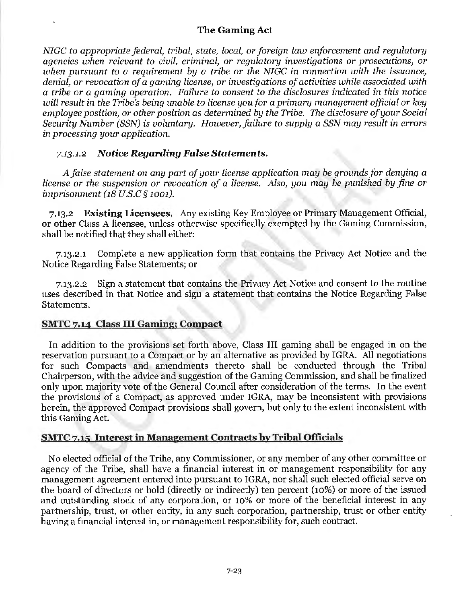*NIGC to appropriate federal, tribal, state, local, or foreign law enforcement and regulatory agencies when relevant to civil, criminal, or 1·egulatory investigations or prosecutions, or when pursuant to a requirement by a tribe or the NIGG in connection with the issuance, denial, or revocation of a gaming license, or investigations of activities while associated with a tribe 01· a gaming operation. Failm·e to consent to the disclosures indicated in this notice*  will result in the Tribe's being unable to license you for a primary management official or key *employee position, or other position as determined by the Tribe. The disclosure of your Social Security Number (SSN) is voluntary. However, failure to supply a SSN may result in errors in processing your application.* 

### *713.1.2 Notice Regarding False Statements.*

*A false statement on any part of your license application may be grounds for denying a license or the suspension or revocation of a license. Also, you may be punished by fine or imprisonment (18 U.S.C § 1001).* 

7.13.2 Existing Licensees. Any existing Key Employee or Primary Management Official, or other Class A licensee, unless otherwise specifically exempted by the Gaming Commission, shall be notified that they shall either:

7.13.2.1 Complete a new application form that contains the Privacy Act Notice and the Notice Regarding False Statements; or

7.13.2.2 Sign a statement that contains the Privacy Act Notice and consent to the routine uses described in that Notice and sign a statement that contains the Notice Regarding False Statements.

### SMTC 7.14 Class III Gaming; Compact

In addition to the provisions set forth above, Class III gaming shall be engaged in on the reservation pursuant to a Compact or by an alternative as provided by IGRA. All negotiations for such Compacts and amendments thereto shall be conducted through the Tribal Chairperson, with the advice and suggestion of the Gaming Commission, and shall be finalized only upon majority vote of the General Council after consideration of the terms. In the event the provisions of a Compact, as approved under IGRA, may be inconsistent with provisions herein, the approved Compact provisions shall govern, but only to the extent inconsistent with this Gaming Act.

# SMTC 7.15 Interest in Management Contracts by Tribal Officials

No elected official of the Tribe, any Commissioner, or any member of any other committee or agency of the Tribe, shall have a financial interest in or management responsibility for any management agreement entered into pursuant to IGRA, nor shall such elected official serve on the board of directors or hold (directly or indirectly) ten percent (10%) or more of the issued and outstanding stock of any corporation, or 10% or more of the beneficial interest in any partnership, trust, or other entity, in any such corporation, partnership, trust or other entity having a financial interest in, or management responsibility for, such contract.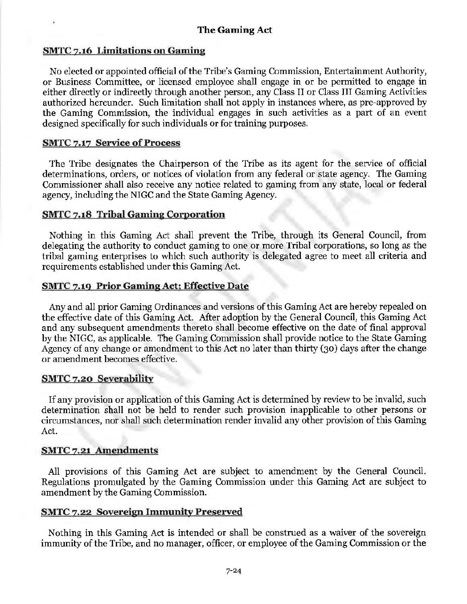### SMTC 7.16 Limitations on Gaming

No elected or appointed official of the Tribe's Gaming Commission, Entertainment Authority, or Business Committee, or licensed employee shall engage in or be permitted to engage in either directly or indirectly through another person, any Class II or Class III Gaming Activities authorized hereunder. Such limitation shall not apply in instances where, as pre-approved by the Gaming Commission, the individual engages in such activities as a part of an event designed specifically for such individuals or for training purposes.

### SMTC 7.17 Service of Process

The Tribe designates the Chairperson of the Tribe as its agent for the service of official determinations, orders, or notices of violation from any federal or state agency. The Gaming Commissioner shall also receive any notice related to gaming from any state, local or federal agency, including the NIGC and the State Gaming Agency.

### SMTC 7.18 Tribal Gaming Corporation

Nothing in this Gaming Act shall prevent the Tribe, through its General Council, from delegating the authority to conduct gaming to one or more Tribal corporations, so long as the tribal gaming enterprises to which such authority is delegated agree to meet all criteria and requirements established under this Gaming Act.

### SMTC 7.19 Prior Gaming Act; Effective Date

Any and all prior Gaming Ordinances and versions of this Gaming Act are hereby repealed on the effective date of this Gaming Act. After adoption by the General Council, this Gaming Act and any subsequent amendments thereto shall become effective on the date of final approval by the NIGC, as applicable. The Gaming Commission shall provide notice to the State Gaming Agency of any change or amendment to this Act no later than thirty (30) days after the change or amendment becomes effective.

#### SMTC 7.20 Severability

If any provision or application of this Gaming Act is determined by review to be invalid, such determination shall not be held to render such provision inapplicable to other persons or circumstances, nor shall such determination render invalid any other provision of this Gaming Act.

### SMTC 7.21 Amendments

All provisions of this Gaming Act are subject to amendment by the General Council. Regulations promulgated by the Gaming Commission under this Gaming Act are subject to amendment by the Gaming Commission.

### SMTC *1.22* Sovereign Immunity Preserved

Nothing in this Gaming Act is intended or shall be construed as a waiver of the sovereign immunity of the Tribe, and no manager, officer, or employee of the Gaming Commission or the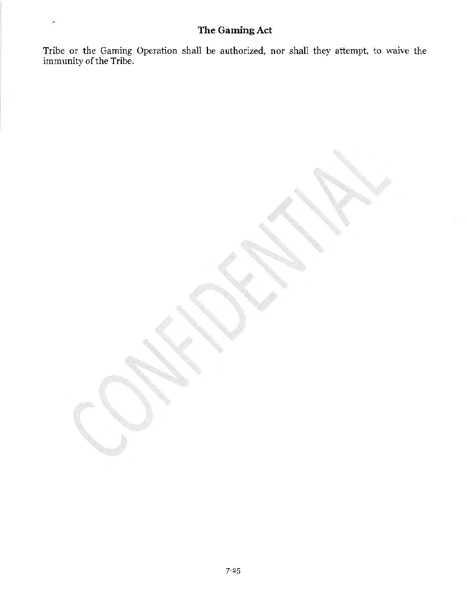Tribe or the Gaming Operation shall be authorized, nor shall they attempt, to waive the immunity of the Tribe.